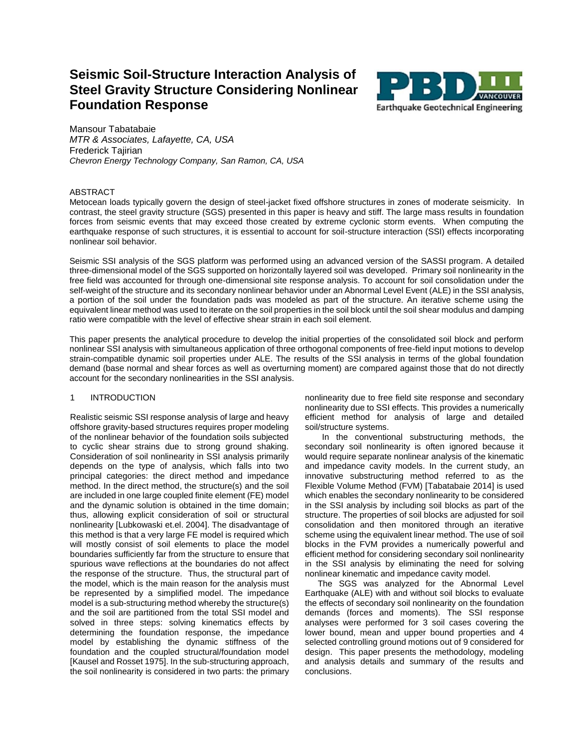# **Seismic Soil-Structure Interaction Analysis of Steel Gravity Structure Considering Nonlinear Foundation Response**



Mansour Tabatabaie *MTR & Associates, Lafayette, CA, USA* Frederick Tajirian *Chevron Energy Technology Company, San Ramon, CA, USA*

# ABSTRACT

Metocean loads typically govern the design of steel-jacket fixed offshore structures in zones of moderate seismicity. In contrast, the steel gravity structure (SGS) presented in this paper is heavy and stiff. The large mass results in foundation forces from seismic events that may exceed those created by extreme cyclonic storm events. When computing the earthquake response of such structures, it is essential to account for soil-structure interaction (SSI) effects incorporating nonlinear soil behavior.

Seismic SSI analysis of the SGS platform was performed using an advanced version of the SASSI program. A detailed three-dimensional model of the SGS supported on horizontally layered soil was developed. Primary soil nonlinearity in the free field was accounted for through one-dimensional site response analysis. To account for soil consolidation under the self-weight of the structure and its secondary nonlinear behavior under an Abnormal Level Event (ALE) in the SSI analysis, a portion of the soil under the foundation pads was modeled as part of the structure. An iterative scheme using the equivalent linear method was used to iterate on the soil properties in the soil block until the soil shear modulus and damping ratio were compatible with the level of effective shear strain in each soil element.

This paper presents the analytical procedure to develop the initial properties of the consolidated soil block and perform nonlinear SSI analysis with simultaneous application of three orthogonal components of free-field input motions to develop strain-compatible dynamic soil properties under ALE. The results of the SSI analysis in terms of the global foundation demand (base normal and shear forces as well as overturning moment) are compared against those that do not directly account for the secondary nonlinearities in the SSI analysis.

# 1 INTRODUCTION

Realistic seismic SSI response analysis of large and heavy offshore gravity-based structures requires proper modeling of the nonlinear behavior of the foundation soils subjected to cyclic shear strains due to strong ground shaking. Consideration of soil nonlinearity in SSI analysis primarily depends on the type of analysis, which falls into two principal categories: the direct method and impedance method. In the direct method, the structure(s) and the soil are included in one large coupled finite element (FE) model and the dynamic solution is obtained in the time domain; thus, allowing explicit consideration of soil or structural nonlinearity [Lubkowaski et.el. 2004]. The disadvantage of this method is that a very large FE model is required which will mostly consist of soil elements to place the model boundaries sufficiently far from the structure to ensure that spurious wave reflections at the boundaries do not affect the response of the structure. Thus, the structural part of the model, which is the main reason for the analysis must be represented by a simplified model. The impedance model is a sub-structuring method whereby the structure(s) and the soil are partitioned from the total SSI model and solved in three steps: solving kinematics effects by determining the foundation response, the impedance model by establishing the dynamic stiffness of the foundation and the coupled structural/foundation model [Kausel and Rosset 1975]. In the sub-structuring approach, the soil nonlinearity is considered in two parts: the primary nonlinearity due to free field site response and secondary nonlinearity due to SSI effects. This provides a numerically efficient method for analysis of large and detailed soil/structure systems.

In the conventional substructuring methods, the secondary soil nonlinearity is often ignored because it would require separate nonlinear analysis of the kinematic and impedance cavity models. In the current study, an innovative substructuring method referred to as the Flexible Volume Method (FVM) [Tabatabaie 2014] is used which enables the secondary nonlinearity to be considered in the SSI analysis by including soil blocks as part of the structure. The properties of soil blocks are adjusted for soil consolidation and then monitored through an iterative scheme using the equivalent linear method. The use of soil blocks in the FVM provides a numerically powerful and efficient method for considering secondary soil nonlinearity in the SSI analysis by eliminating the need for solving nonlinear kinematic and impedance cavity model.

The SGS was analyzed for the Abnormal Level Earthquake (ALE) with and without soil blocks to evaluate the effects of secondary soil nonlinearity on the foundation demands (forces and moments). The SSI response analyses were performed for 3 soil cases covering the lower bound, mean and upper bound properties and 4 selected controlling ground motions out of 9 considered for design. This paper presents the methodology, modeling and analysis details and summary of the results and conclusions.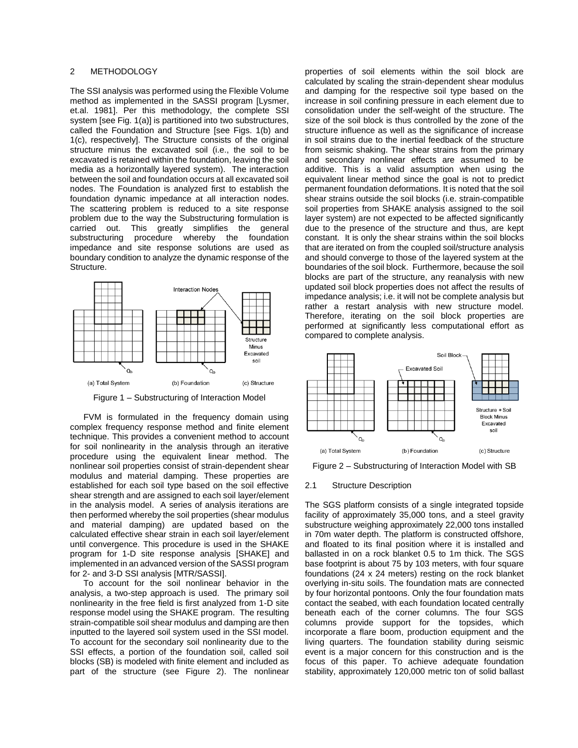## 2 METHODOLOGY

The SSI analysis was performed using the Flexible Volume method as implemented in the SASSI program [Lysmer, et.al. 1981]. Per this methodology, the complete SSI system [see Fig. 1(a)] is partitioned into two substructures, called the Foundation and Structure [see Figs. 1(b) and 1(c), respectively]. The Structure consists of the original structure minus the excavated soil (i.e., the soil to be excavated is retained within the foundation, leaving the soil media as a horizontally layered system). The interaction between the soil and foundation occurs at all excavated soil nodes. The Foundation is analyzed first to establish the foundation dynamic impedance at all interaction nodes. The scattering problem is reduced to a site response problem due to the way the Substructuring formulation is carried out. This greatly simplifies the general substructuring procedure whereby the foundation impedance and site response solutions are used as boundary condition to analyze the dynamic response of the Structure.



Figure 1 – Substructuring of Interaction Model

FVM is formulated in the frequency domain using complex frequency response method and finite element technique. This provides a convenient method to account for soil nonlinearity in the analysis through an iterative procedure using the equivalent linear method. The nonlinear soil properties consist of strain-dependent shear modulus and material damping. These properties are established for each soil type based on the soil effective shear strength and are assigned to each soil layer/element in the analysis model. A series of analysis iterations are then performed whereby the soil properties (shear modulus and material damping) are updated based on the calculated effective shear strain in each soil layer/element until convergence. This procedure is used in the SHAKE program for 1-D site response analysis [SHAKE] and implemented in an advanced version of the SASSI program for 2- and 3-D SSI analysis [MTR/SASSI].

To account for the soil nonlinear behavior in the analysis, a two-step approach is used. The primary soil nonlinearity in the free field is first analyzed from 1-D site response model using the SHAKE program. The resulting strain-compatible soil shear modulus and damping are then inputted to the layered soil system used in the SSI model. To account for the secondary soil nonlinearity due to the SSI effects, a portion of the foundation soil, called soil blocks (SB) is modeled with finite element and included as part of the structure (see Figure 2). The nonlinear properties of soil elements within the soil block are calculated by scaling the strain-dependent shear modulus and damping for the respective soil type based on the increase in soil confining pressure in each element due to consolidation under the self-weight of the structure. The size of the soil block is thus controlled by the zone of the structure influence as well as the significance of increase in soil strains due to the inertial feedback of the structure from seismic shaking. The shear strains from the primary and secondary nonlinear effects are assumed to be additive. This is a valid assumption when using the equivalent linear method since the goal is not to predict permanent foundation deformations. It is noted that the soil shear strains outside the soil blocks (i.e. strain-compatible soil properties from SHAKE analysis assigned to the soil layer system) are not expected to be affected significantly due to the presence of the structure and thus, are kept constant. It is only the shear strains within the soil blocks that are iterated on from the coupled soil/structure analysis and should converge to those of the layered system at the boundaries of the soil block. Furthermore, because the soil blocks are part of the structure, any reanalysis with new updated soil block properties does not affect the results of impedance analysis; i.e. it will not be complete analysis but rather a restart analysis with new structure model. Therefore, iterating on the soil block properties are performed at significantly less computational effort as compared to complete analysis.



Figure 2 – Substructuring of Interaction Model with SB

#### 2.1 Structure Description

The SGS platform consists of a single integrated topside facility of approximately 35,000 tons, and a steel gravity substructure weighing approximately 22,000 tons installed in 70m water depth. The platform is constructed offshore, and floated to its final position where it is installed and ballasted in on a rock blanket 0.5 to 1m thick. The SGS base footprint is about 75 by 103 meters, with four square foundations (24 x 24 meters) resting on the rock blanket overlying in-situ soils. The foundation mats are connected by four horizontal pontoons. Only the four foundation mats contact the seabed, with each foundation located centrally beneath each of the corner columns. The four SGS columns provide support for the topsides, which incorporate a flare boom, production equipment and the living quarters. The foundation stability during seismic event is a major concern for this construction and is the focus of this paper. To achieve adequate foundation stability, approximately 120,000 metric ton of solid ballast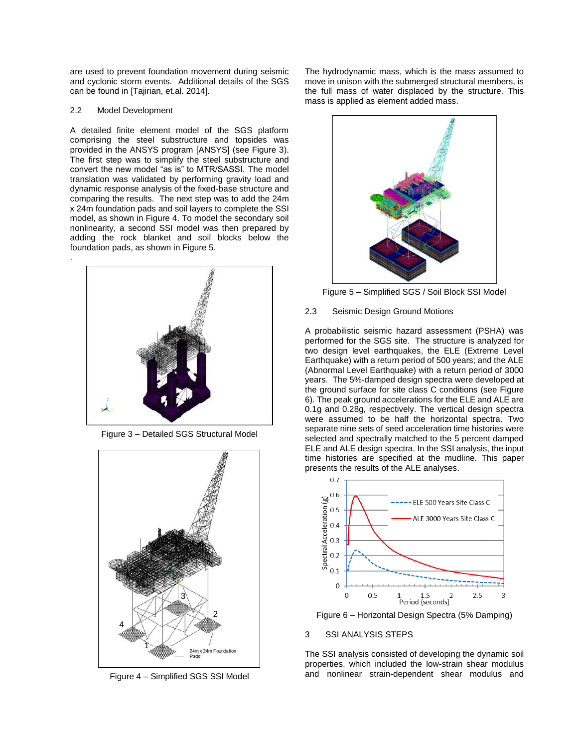are used to prevent foundation movement during seismic and cyclonic storm events. Additional details of the SGS can be found in [Tajirian, et.al. 2014].

## 2.2 Model Development

.

A detailed finite element model of the SGS platform comprising the steel substructure and topsides was provided in the ANSYS program [ANSYS] (see Figure 3). The first step was to simplify the steel substructure and convert the new model "as is" to MTR/SASSI. The model translation was validated by performing gravity load and dynamic response analysis of the fixed-base structure and comparing the results. The next step was to add the 24m x 24m foundation pads and soil layers to complete the SSI model, as shown in Figure 4. To model the secondary soil nonlinearity, a second SSI model was then prepared by adding the rock blanket and soil blocks below the foundation pads, as shown in Figure 5.



Figure 3 – Detailed SGS Structural Model



Figure 4 – Simplified SGS SSI Model

The hydrodynamic mass, which is the mass assumed to move in unison with the submerged structural members, is the full mass of water displaced by the structure. This mass is applied as element added mass.



Figure 5 – Simplified SGS / Soil Block SSI Model

# 2.3 Seismic Design Ground Motions

A probabilistic seismic hazard assessment (PSHA) was performed for the SGS site. The structure is analyzed for two design level earthquakes, the ELE (Extreme Level Earthquake) with a return period of 500 years; and the ALE (Abnormal Level Earthquake) with a return period of 3000 years. The 5%-damped design spectra were developed at the ground surface for site class C conditions (see Figure 6). The peak ground accelerations for the ELE and ALE are 0.1g and 0.28g, respectively. The vertical design spectra were assumed to be half the horizontal spectra. Two separate nine sets of seed acceleration time histories were selected and spectrally matched to the 5 percent damped ELE and ALE design spectra. In the SSI analysis, the input time histories are specified at the mudline. This paper presents the results of the ALE analyses.



Figure 6 – Horizontal Design Spectra (5% Damping)

# 3 SSI ANALYSIS STEPS

The SSI analysis consisted of developing the dynamic soil properties, which included the low-strain shear modulus and nonlinear strain-dependent shear modulus and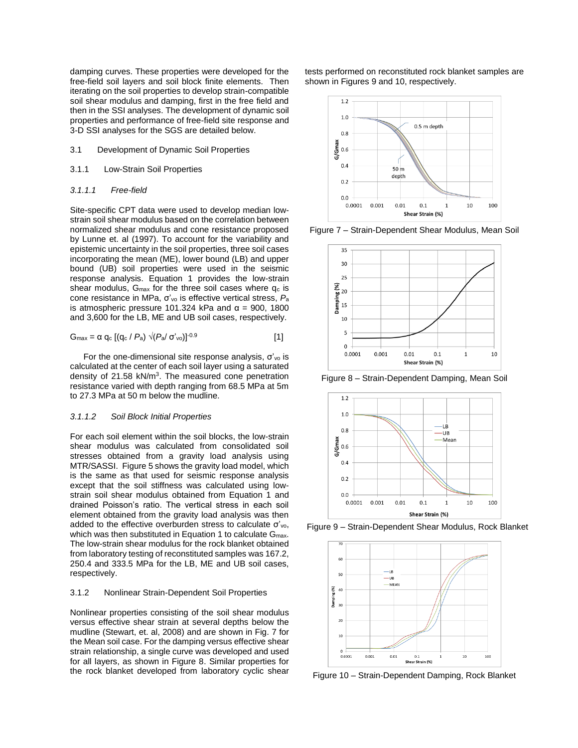damping curves. These properties were developed for the free-field soil layers and soil block finite elements. Then iterating on the soil properties to develop strain-compatible soil shear modulus and damping, first in the free field and then in the SSI analyses. The development of dynamic soil properties and performance of free-field site response and 3-D SSI analyses for the SGS are detailed below.

- 3.1 Development of Dynamic Soil Properties
- 3.1.1 Low-Strain Soil Properties

#### *3.1.1.1 Free-field*

Site-specific CPT data were used to develop median lowstrain soil shear modulus based on the correlation between normalized shear modulus and cone resistance proposed by Lunne et. al (1997). To account for the variability and epistemic uncertainty in the soil properties, three soil cases incorporating the mean (ME), lower bound (LB) and upper bound (UB) soil properties were used in the seismic response analysis. Equation 1 provides the low-strain shear modulus,  $G_{\text{max}}$  for the three soil cases where  $q_c$  is cone resistance in MPa, σ'vo is effective vertical stress, *P*<sup>a</sup> is atmospheric pressure 101.324 kPa and  $α = 900$ , 1800 and 3,600 for the LB, ME and UB soil cases, respectively.

$$
G_{\text{max}} = \alpha q_c [(q_c / P_a) \sqrt{(P_a / \sigma'_{\text{vo}})}]^{0.9}
$$
 [1]

For the one-dimensional site response analysis,  $σ'_{vo}$  is calculated at the center of each soil layer using a saturated density of 21.58 kN/m<sup>3</sup>. The measured cone penetration resistance varied with depth ranging from 68.5 MPa at 5m to 27.3 MPa at 50 m below the mudline.

## *3.1.1.2 Soil Block Initial Properties*

For each soil element within the soil blocks, the low-strain shear modulus was calculated from consolidated soil stresses obtained from a gravity load analysis using MTR/SASSI. Figure 5 shows the gravity load model, which is the same as that used for seismic response analysis except that the soil stiffness was calculated using lowstrain soil shear modulus obtained from Equation 1 and drained Poisson's ratio. The vertical stress in each soil element obtained from the gravity load analysis was then added to the effective overburden stress to calculate σ'vo, which was then substituted in Equation 1 to calculate G<sub>max</sub>. The low-strain shear modulus for the rock blanket obtained from laboratory testing of reconstituted samples was 167.2, 250.4 and 333.5 MPa for the LB, ME and UB soil cases, respectively.

#### 3.1.2 Nonlinear Strain-Dependent Soil Properties

Nonlinear properties consisting of the soil shear modulus versus effective shear strain at several depths below the mudline (Stewart, et. al, 2008) and are shown in Fig. 7 for the Mean soil case. For the damping versus effective shear strain relationship, a single curve was developed and used for all layers, as shown in Figure 8. Similar properties for the rock blanket developed from laboratory cyclic shear

tests performed on reconstituted rock blanket samples are shown in Figures 9 and 10, respectively.



Figure 7 – Strain-Dependent Shear Modulus, Mean Soil



Figure 8 – Strain-Dependent Damping, Mean Soil



Figure 9 – Strain-Dependent Shear Modulus, Rock Blanket



Figure 10 – Strain-Dependent Damping, Rock Blanket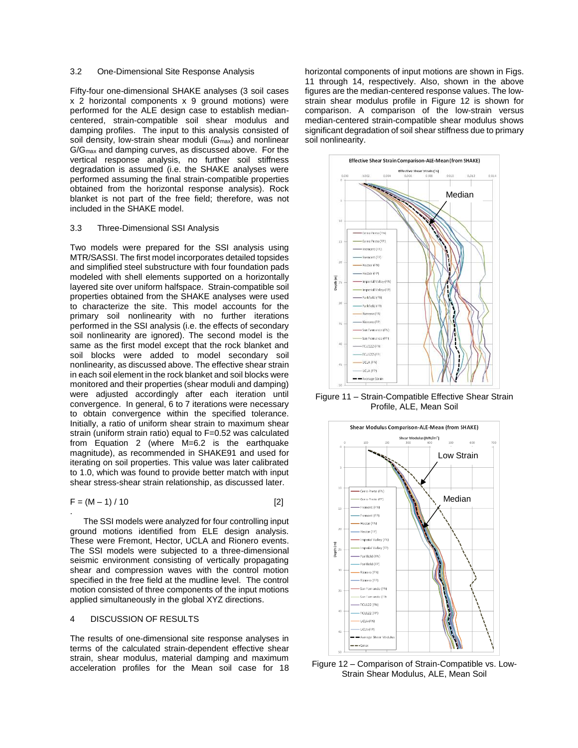## 3.2 One-Dimensional Site Response Analysis

Fifty-four one-dimensional SHAKE analyses (3 soil cases x 2 horizontal components x 9 ground motions) were performed for the ALE design case to establish mediancentered, strain-compatible soil shear modulus and damping profiles. The input to this analysis consisted of soil density, low-strain shear moduli (G<sub>max</sub>) and nonlinear G/Gmax and damping curves, as discussed above. For the vertical response analysis, no further soil stiffness degradation is assumed (i.e. the SHAKE analyses were performed assuming the final strain-compatible properties obtained from the horizontal response analysis). Rock blanket is not part of the free field; therefore, was not included in the SHAKE model.

# 3.3 Three-Dimensional SSI Analysis

Two models were prepared for the SSI analysis using MTR/SASSI. The first model incorporates detailed topsides and simplified steel substructure with four foundation pads modeled with shell elements supported on a horizontally layered site over uniform halfspace. Strain-compatible soil properties obtained from the SHAKE analyses were used to characterize the site. This model accounts for the primary soil nonlinearity with no further iterations performed in the SSI analysis (i.e. the effects of secondary soil nonlinearity are ignored). The second model is the same as the first model except that the rock blanket and soil blocks were added to model secondary soil nonlinearity, as discussed above. The effective shear strain in each soil element in the rock blanket and soil blocks were monitored and their properties (shear moduli and damping) were adjusted accordingly after each iteration until convergence. In general, 6 to 7 iterations were necessary to obtain convergence within the specified tolerance. Initially, a ratio of uniform shear strain to maximum shear strain (uniform strain ratio) equal to F=0.52 was calculated from Equation 2 (where M=6.2 is the earthquake magnitude), as recommended in SHAKE91 and used for iterating on soil properties. This value was later calibrated to 1.0, which was found to provide better match with input shear stress-shear strain relationship, as discussed later.

$$
F = (M - 1) / 10
$$
 [2]

The SSI models were analyzed for four controlling input ground motions identified from ELE design analysis. These were Fremont, Hector, UCLA and Rionero events. The SSI models were subjected to a three-dimensional seismic environment consisting of vertically propagating shear and compression waves with the control motion specified in the free field at the mudline level. The control motion consisted of three components of the input motions applied simultaneously in the global XYZ directions.

# 4 DISCUSSION OF RESULTS

The results of one-dimensional site response analyses in terms of the calculated strain-dependent effective shear strain, shear modulus, material damping and maximum acceleration profiles for the Mean soil case for 18

horizontal components of input motions are shown in Figs. 11 through 14, respectively. Also, shown in the above figures are the median-centered response values. The lowstrain shear modulus profile in Figure 12 is shown for comparison. A comparison of the low-strain versus median-centered strain-compatible shear modulus shows significant degradation of soil shear stiffness due to primary soil nonlinearity.



Figure 11 – Strain-Compatible Effective Shear Strain Profile, ALE, Mean Soil



Figure 12 – Comparison of Strain-Compatible vs. Low-Strain Shear Modulus, ALE, Mean Soil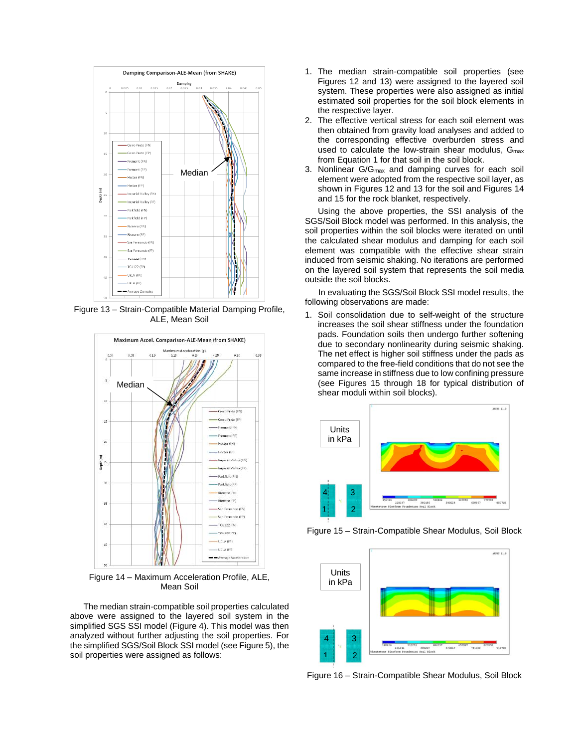

Figure 13 – Strain-Compatible Material Damping Profile, ALE, Mean Soil



Figure 14 – Maximum Acceleration Profile, ALE, Mean Soil

The median strain-compatible soil properties calculated above were assigned to the layered soil system in the simplified SGS SSI model (Figure 4). This model was then analyzed without further adjusting the soil properties. For the simplified SGS/Soil Block SSI model (see Figure 5), the soil properties were assigned as follows:

- 1. The median strain-compatible soil properties (see Figures 12 and 13) were assigned to the layered soil system. These properties were also assigned as initial estimated soil properties for the soil block elements in the respective layer.
- 2. The effective vertical stress for each soil element was then obtained from gravity load analyses and added to the corresponding effective overburden stress and used to calculate the low-strain shear modulus,  $G_{\text{max}}$ from Equation 1 for that soil in the soil block.
- 3. Nonlinear G/Gmax and damping curves for each soil element were adopted from the respective soil layer, as shown in Figures 12 and 13 for the soil and Figures 14 and 15 for the rock blanket, respectively.

Using the above properties, the SSI analysis of the SGS/Soil Block model was performed. In this analysis, the soil properties within the soil blocks were iterated on until the calculated shear modulus and damping for each soil element was compatible with the effective shear strain induced from seismic shaking. No iterations are performed on the layered soil system that represents the soil media outside the soil blocks.

In evaluating the SGS/Soil Block SSI model results, the following observations are made:

1. Soil consolidation due to self-weight of the structure increases the soil shear stiffness under the foundation pads. Foundation soils then undergo further softening due to secondary nonlinearity during seismic shaking. The net effect is higher soil stiffness under the pads as compared to the free-field conditions that do not see the same increase in stiffness due to low confining pressure (see Figures 15 through 18 for typical distribution of shear moduli within soil blocks).



Figure 15 – Strain-Compatible Shear Modulus, Soil Block



Figure 16 – Strain-Compatible Shear Modulus, Soil Block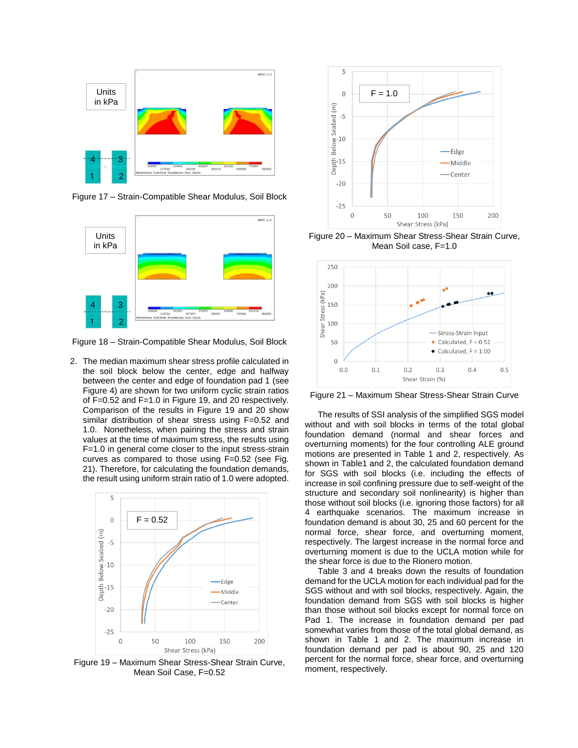

Figure 17 – Strain-Compatible Shear Modulus, Soil Block



Figure 18 – Strain-Compatible Shear Modulus, Soil Block

2. The median maximum shear stress profile calculated in the soil block below the center, edge and halfway between the center and edge of foundation pad 1 (see Figure 4) are shown for two uniform cyclic strain ratios of F=0.52 and F=1.0 in Figure 19, and 20 respectively. Comparison of the results in Figure 19 and 20 show similar distribution of shear stress using F=0.52 and 1.0. Nonetheless, when pairing the stress and strain values at the time of maximum stress, the results using F=1.0 in general come closer to the input stress-strain curves as compared to those using F=0.52 (see Fig. 21). Therefore, for calculating the foundation demands, the result using uniform strain ratio of 1.0 were adopted.



Figure 19 – Maximum Shear Stress-Shear Strain Curve, Mean Soil Case, F=0.52



Figure 20 – Maximum Shear Stress-Shear Strain Curve, Mean Soil case, F=1.0



Figure 21 – Maximum Shear Stress-Shear Strain Curve

The results of SSI analysis of the simplified SGS model without and with soil blocks in terms of the total global foundation demand (normal and shear forces and overturning moments) for the four controlling ALE ground motions are presented in Table 1 and 2, respectively. As shown in Table1 and 2, the calculated foundation demand for SGS with soil blocks (i.e. including the effects of increase in soil confining pressure due to self-weight of the structure and secondary soil nonlinearity) is higher than those without soil blocks (i.e. ignoring those factors) for all 4 earthquake scenarios. The maximum increase in foundation demand is about 30, 25 and 60 percent for the normal force, shear force, and overturning moment, respectively. The largest increase in the normal force and overturning moment is due to the UCLA motion while for the shear force is due to the Rionero motion.

Table 3 and 4 breaks down the results of foundation demand for the UCLA motion for each individual pad for the SGS without and with soil blocks, respectively. Again, the foundation demand from SGS with soil blocks is higher than those without soil blocks except for normal force on Pad 1. The increase in foundation demand per pad somewhat varies from those of the total global demand, as shown in Table 1 and 2. The maximum increase in foundation demand per pad is about 90, 25 and 120 percent for the normal force, shear force, and overturning moment, respectively.